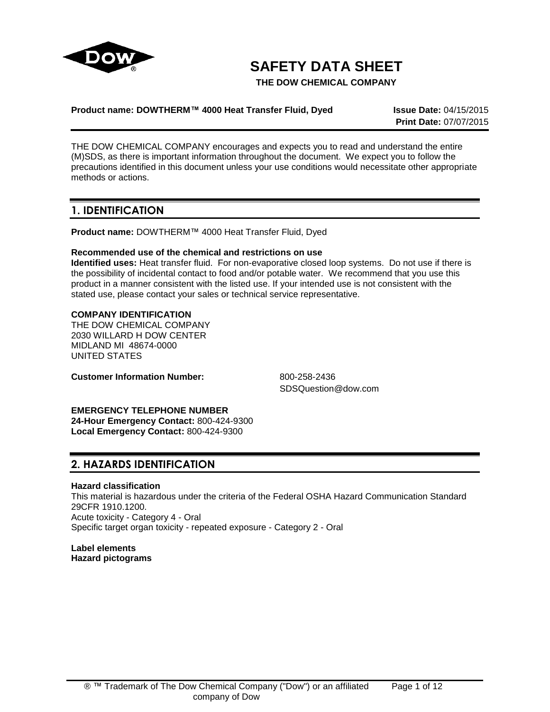

# **SAFETY DATA SHEET**

**THE DOW CHEMICAL COMPANY**

### **Product name: DOWTHERM™ 4000 Heat Transfer Fluid, Dyed Issue Date:** 04/15/2015

**Print Date:** 07/07/2015

THE DOW CHEMICAL COMPANY encourages and expects you to read and understand the entire (M)SDS, as there is important information throughout the document. We expect you to follow the precautions identified in this document unless your use conditions would necessitate other appropriate methods or actions.

## **1. IDENTIFICATION**

**Product name:** DOWTHERM™ 4000 Heat Transfer Fluid, Dyed

### **Recommended use of the chemical and restrictions on use**

**Identified uses:** Heat transfer fluid. For non-evaporative closed loop systems. Do not use if there is the possibility of incidental contact to food and/or potable water. We recommend that you use this product in a manner consistent with the listed use. If your intended use is not consistent with the stated use, please contact your sales or technical service representative.

### **COMPANY IDENTIFICATION**

THE DOW CHEMICAL COMPANY 2030 WILLARD H DOW CENTER MIDLAND MI 48674-0000 UNITED STATES

**Customer Information Number:** 800-258-2436

SDSQuestion@dow.com

**EMERGENCY TELEPHONE NUMBER 24-Hour Emergency Contact:** 800-424-9300 **Local Emergency Contact:** 800-424-9300

# **2. HAZARDS IDENTIFICATION**

### **Hazard classification**

This material is hazardous under the criteria of the Federal OSHA Hazard Communication Standard 29CFR 1910.1200. Acute toxicity - Category 4 - Oral Specific target organ toxicity - repeated exposure - Category 2 - Oral

**Label elements Hazard pictograms**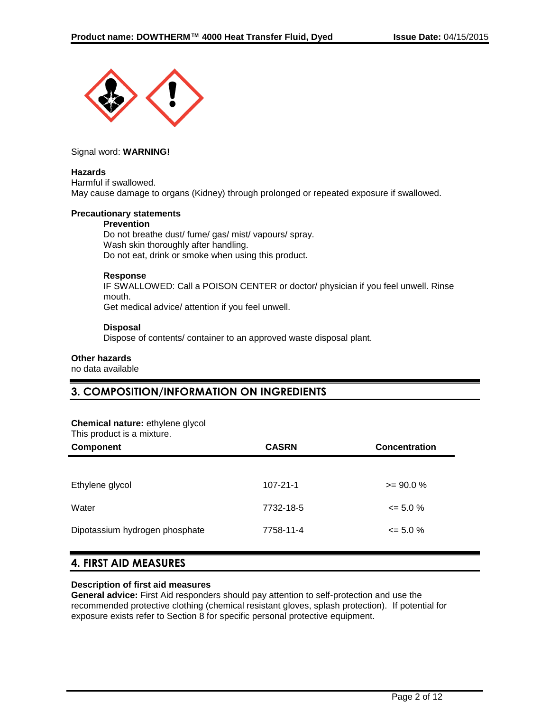

Signal word: **WARNING!**

#### **Hazards**

Harmful if swallowed. May cause damage to organs (Kidney) through prolonged or repeated exposure if swallowed.

#### **Precautionary statements**

#### **Prevention**

Do not breathe dust/ fume/ gas/ mist/ vapours/ spray. Wash skin thoroughly after handling. Do not eat, drink or smoke when using this product.

### **Response**

IF SWALLOWED: Call a POISON CENTER or doctor/ physician if you feel unwell. Rinse mouth.

Get medical advice/ attention if you feel unwell.

### **Disposal**

Dispose of contents/ container to an approved waste disposal plant.

#### **Other hazards**

no data available

# **3. COMPOSITION/INFORMATION ON INGREDIENTS**

#### **Chemical nature:** ethylene glycol

This product is a mixture.

| <b>Component</b>               | <b>CASRN</b>   | <b>Concentration</b> |
|--------------------------------|----------------|----------------------|
|                                |                |                      |
| Ethylene glycol                | $107 - 21 - 1$ | $>= 90.0 %$          |
| Water                          | 7732-18-5      | $\leq$ 5.0 %         |
| Dipotassium hydrogen phosphate | 7758-11-4      | $\leq$ 5.0 %         |

# **4. FIRST AID MEASURES**

#### **Description of first aid measures**

**General advice:** First Aid responders should pay attention to self-protection and use the recommended protective clothing (chemical resistant gloves, splash protection). If potential for exposure exists refer to Section 8 for specific personal protective equipment.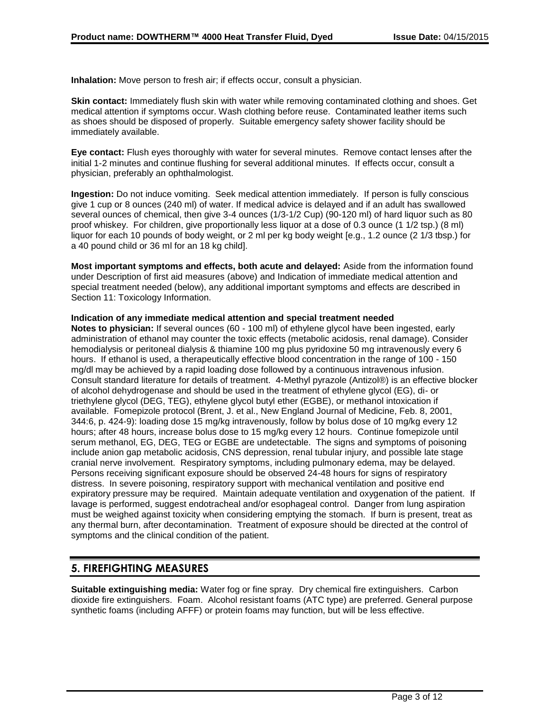**Inhalation:** Move person to fresh air; if effects occur, consult a physician.

**Skin contact:** Immediately flush skin with water while removing contaminated clothing and shoes. Get medical attention if symptoms occur. Wash clothing before reuse. Contaminated leather items such as shoes should be disposed of properly. Suitable emergency safety shower facility should be immediately available.

**Eye contact:** Flush eyes thoroughly with water for several minutes. Remove contact lenses after the initial 1-2 minutes and continue flushing for several additional minutes. If effects occur, consult a physician, preferably an ophthalmologist.

**Ingestion:** Do not induce vomiting. Seek medical attention immediately. If person is fully conscious give 1 cup or 8 ounces (240 ml) of water. If medical advice is delayed and if an adult has swallowed several ounces of chemical, then give 3-4 ounces (1/3-1/2 Cup) (90-120 ml) of hard liquor such as 80 proof whiskey. For children, give proportionally less liquor at a dose of 0.3 ounce (1 1/2 tsp.) (8 ml) liquor for each 10 pounds of body weight, or 2 ml per kg body weight [e.g., 1.2 ounce (2 1/3 tbsp.) for a 40 pound child or 36 ml for an 18 kg child].

**Most important symptoms and effects, both acute and delayed:** Aside from the information found under Description of first aid measures (above) and Indication of immediate medical attention and special treatment needed (below), any additional important symptoms and effects are described in Section 11: Toxicology Information.

#### **Indication of any immediate medical attention and special treatment needed**

**Notes to physician:** If several ounces (60 - 100 ml) of ethylene glycol have been ingested, early administration of ethanol may counter the toxic effects (metabolic acidosis, renal damage). Consider hemodialysis or peritoneal dialysis & thiamine 100 mg plus pyridoxine 50 mg intravenously every 6 hours. If ethanol is used, a therapeutically effective blood concentration in the range of 100 - 150 mg/dl may be achieved by a rapid loading dose followed by a continuous intravenous infusion. Consult standard literature for details of treatment. 4-Methyl pyrazole (Antizol®) is an effective blocker of alcohol dehydrogenase and should be used in the treatment of ethylene glycol (EG), di- or triethylene glycol (DEG, TEG), ethylene glycol butyl ether (EGBE), or methanol intoxication if available. Fomepizole protocol (Brent, J. et al., New England Journal of Medicine, Feb. 8, 2001, 344:6, p. 424-9): loading dose 15 mg/kg intravenously, follow by bolus dose of 10 mg/kg every 12 hours; after 48 hours, increase bolus dose to 15 mg/kg every 12 hours. Continue fomepizole until serum methanol, EG, DEG, TEG or EGBE are undetectable. The signs and symptoms of poisoning include anion gap metabolic acidosis, CNS depression, renal tubular injury, and possible late stage cranial nerve involvement. Respiratory symptoms, including pulmonary edema, may be delayed. Persons receiving significant exposure should be observed 24-48 hours for signs of respiratory distress. In severe poisoning, respiratory support with mechanical ventilation and positive end expiratory pressure may be required. Maintain adequate ventilation and oxygenation of the patient. If lavage is performed, suggest endotracheal and/or esophageal control. Danger from lung aspiration must be weighed against toxicity when considering emptying the stomach. If burn is present, treat as any thermal burn, after decontamination. Treatment of exposure should be directed at the control of symptoms and the clinical condition of the patient.

### **5. FIREFIGHTING MEASURES**

**Suitable extinguishing media:** Water fog or fine spray. Dry chemical fire extinguishers. Carbon dioxide fire extinguishers. Foam. Alcohol resistant foams (ATC type) are preferred. General purpose synthetic foams (including AFFF) or protein foams may function, but will be less effective.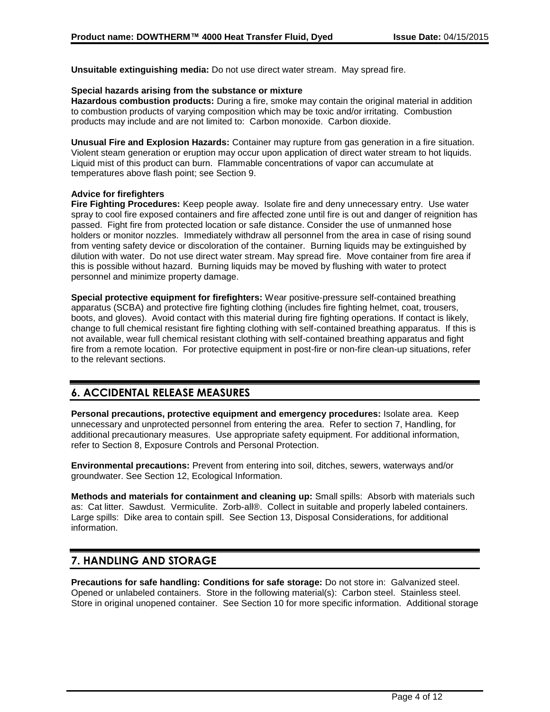**Unsuitable extinguishing media:** Do not use direct water stream. May spread fire.

### **Special hazards arising from the substance or mixture**

**Hazardous combustion products:** During a fire, smoke may contain the original material in addition to combustion products of varying composition which may be toxic and/or irritating. Combustion products may include and are not limited to: Carbon monoxide. Carbon dioxide.

**Unusual Fire and Explosion Hazards:** Container may rupture from gas generation in a fire situation. Violent steam generation or eruption may occur upon application of direct water stream to hot liquids. Liquid mist of this product can burn. Flammable concentrations of vapor can accumulate at temperatures above flash point; see Section 9.

### **Advice for firefighters**

**Fire Fighting Procedures:** Keep people away. Isolate fire and deny unnecessary entry. Use water spray to cool fire exposed containers and fire affected zone until fire is out and danger of reignition has passed. Fight fire from protected location or safe distance. Consider the use of unmanned hose holders or monitor nozzles. Immediately withdraw all personnel from the area in case of rising sound from venting safety device or discoloration of the container. Burning liquids may be extinguished by dilution with water. Do not use direct water stream. May spread fire. Move container from fire area if this is possible without hazard. Burning liquids may be moved by flushing with water to protect personnel and minimize property damage.

**Special protective equipment for firefighters:** Wear positive-pressure self-contained breathing apparatus (SCBA) and protective fire fighting clothing (includes fire fighting helmet, coat, trousers, boots, and gloves). Avoid contact with this material during fire fighting operations. If contact is likely, change to full chemical resistant fire fighting clothing with self-contained breathing apparatus. If this is not available, wear full chemical resistant clothing with self-contained breathing apparatus and fight fire from a remote location. For protective equipment in post-fire or non-fire clean-up situations, refer to the relevant sections.

# **6. ACCIDENTAL RELEASE MEASURES**

**Personal precautions, protective equipment and emergency procedures:** Isolate area. Keep unnecessary and unprotected personnel from entering the area. Refer to section 7, Handling, for additional precautionary measures. Use appropriate safety equipment. For additional information, refer to Section 8, Exposure Controls and Personal Protection.

**Environmental precautions:** Prevent from entering into soil, ditches, sewers, waterways and/or groundwater. See Section 12, Ecological Information.

**Methods and materials for containment and cleaning up:** Small spills: Absorb with materials such as: Cat litter. Sawdust. Vermiculite. Zorb-all®. Collect in suitable and properly labeled containers. Large spills: Dike area to contain spill. See Section 13, Disposal Considerations, for additional information.

# **7. HANDLING AND STORAGE**

**Precautions for safe handling: Conditions for safe storage:** Do not store in: Galvanized steel. Opened or unlabeled containers. Store in the following material(s): Carbon steel. Stainless steel. Store in original unopened container. See Section 10 for more specific information. Additional storage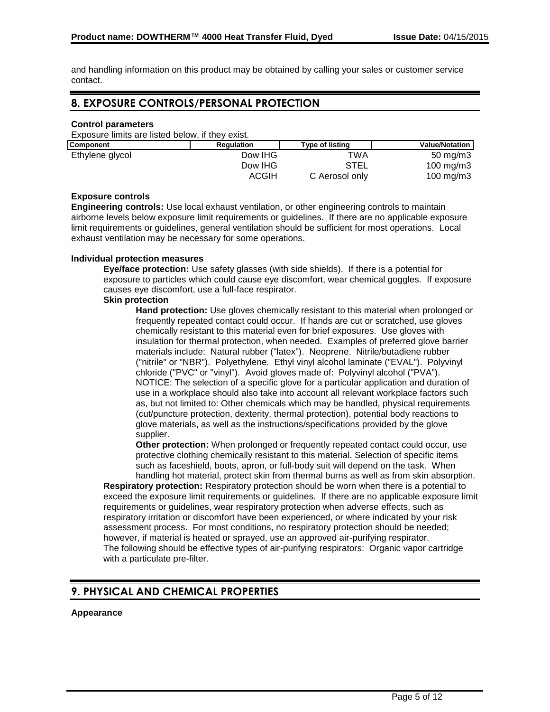and handling information on this product may be obtained by calling your sales or customer service contact.

# **8. EXPOSURE CONTROLS/PERSONAL PROTECTION**

### **Control parameters**

Exposure limits are listed below, if they exist.

| <b>Component</b> | Regulation | <b>Type of listing</b> | <b>Value/Notation</b> |
|------------------|------------|------------------------|-----------------------|
| Ethylene glycol  | Dow IHG    | TWA                    | $50 \text{ mg/m}$     |
|                  | Dow IHG    | STEL                   | $100 \text{ mg/m}$    |
|                  | ACGIH      | C Aerosol only         | $100 \text{ ma/m}$ 3  |

#### **Exposure controls**

**Engineering controls:** Use local exhaust ventilation, or other engineering controls to maintain airborne levels below exposure limit requirements or guidelines. If there are no applicable exposure limit requirements or guidelines, general ventilation should be sufficient for most operations. Local exhaust ventilation may be necessary for some operations.

#### **Individual protection measures**

**Eye/face protection:** Use safety glasses (with side shields). If there is a potential for exposure to particles which could cause eye discomfort, wear chemical goggles. If exposure causes eye discomfort, use a full-face respirator.

#### **Skin protection**

**Hand protection:** Use gloves chemically resistant to this material when prolonged or frequently repeated contact could occur. If hands are cut or scratched, use gloves chemically resistant to this material even for brief exposures. Use gloves with insulation for thermal protection, when needed. Examples of preferred glove barrier materials include: Natural rubber ("latex"). Neoprene. Nitrile/butadiene rubber ("nitrile" or "NBR"). Polyethylene. Ethyl vinyl alcohol laminate ("EVAL"). Polyvinyl chloride ("PVC" or "vinyl"). Avoid gloves made of: Polyvinyl alcohol ("PVA"). NOTICE: The selection of a specific glove for a particular application and duration of use in a workplace should also take into account all relevant workplace factors such as, but not limited to: Other chemicals which may be handled, physical requirements (cut/puncture protection, dexterity, thermal protection), potential body reactions to glove materials, as well as the instructions/specifications provided by the glove supplier.

**Other protection:** When prolonged or frequently repeated contact could occur, use protective clothing chemically resistant to this material. Selection of specific items such as faceshield, boots, apron, or full-body suit will depend on the task. When handling hot material, protect skin from thermal burns as well as from skin absorption.

**Respiratory protection:** Respiratory protection should be worn when there is a potential to exceed the exposure limit requirements or guidelines. If there are no applicable exposure limit requirements or guidelines, wear respiratory protection when adverse effects, such as respiratory irritation or discomfort have been experienced, or where indicated by your risk assessment process. For most conditions, no respiratory protection should be needed; however, if material is heated or sprayed, use an approved air-purifying respirator. The following should be effective types of air-purifying respirators: Organic vapor cartridge with a particulate pre-filter.

# **9. PHYSICAL AND CHEMICAL PROPERTIES**

### **Appearance**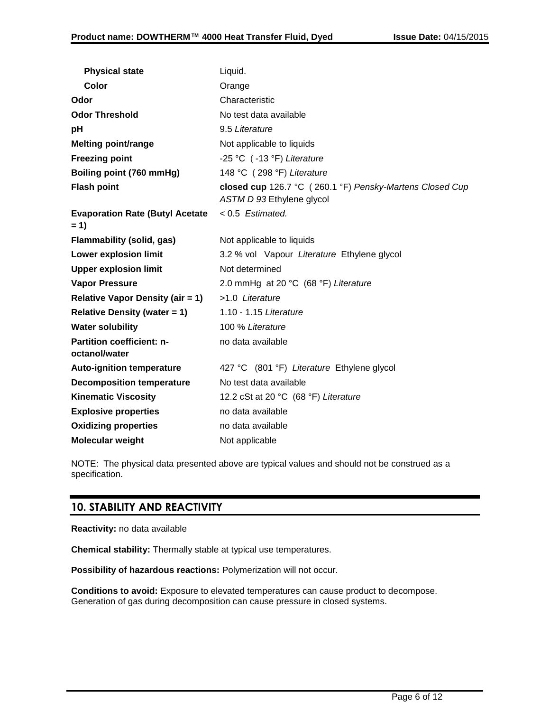| <b>Physical state</b>                             | Liquid.                                                                               |
|---------------------------------------------------|---------------------------------------------------------------------------------------|
| Color                                             | Orange                                                                                |
| Odor                                              | Characteristic                                                                        |
| <b>Odor Threshold</b>                             | No test data available                                                                |
| рH                                                | 9.5 Literature                                                                        |
| <b>Melting point/range</b>                        | Not applicable to liquids                                                             |
| <b>Freezing point</b>                             | -25 °C (-13 °F) Literature                                                            |
| Boiling point (760 mmHg)                          | 148 °C (298 °F) Literature                                                            |
| <b>Flash point</b>                                | closed cup 126.7 °C (260.1 °F) Pensky-Martens Closed Cup<br>ASTM D 93 Ethylene glycol |
| <b>Evaporation Rate (Butyl Acetate)</b><br>$= 1$  | $< 0.5$ Estimated.                                                                    |
| <b>Flammability (solid, gas)</b>                  | Not applicable to liquids                                                             |
| <b>Lower explosion limit</b>                      | 3.2 % vol Vapour Literature Ethylene glycol                                           |
| <b>Upper explosion limit</b>                      | Not determined                                                                        |
| <b>Vapor Pressure</b>                             | 2.0 mmHg at 20 °C (68 °F) Literature                                                  |
| <b>Relative Vapor Density (air = 1)</b>           | >1.0 Literature                                                                       |
| <b>Relative Density (water = 1)</b>               | 1.10 - 1.15 Literature                                                                |
| <b>Water solubility</b>                           | 100 % Literature                                                                      |
| <b>Partition coefficient: n-</b><br>octanol/water | no data available                                                                     |
| <b>Auto-ignition temperature</b>                  | 427 °C (801 °F) Literature Ethylene glycol                                            |
| <b>Decomposition temperature</b>                  | No test data available                                                                |
| <b>Kinematic Viscosity</b>                        | 12.2 cSt at 20 °C (68 °F) Literature                                                  |
| <b>Explosive properties</b>                       | no data available                                                                     |
| <b>Oxidizing properties</b>                       | no data available                                                                     |
| Molecular weight                                  | Not applicable                                                                        |

NOTE: The physical data presented above are typical values and should not be construed as a specification.

# **10. STABILITY AND REACTIVITY**

**Reactivity:** no data available

**Chemical stability:** Thermally stable at typical use temperatures.

**Possibility of hazardous reactions:** Polymerization will not occur.

**Conditions to avoid:** Exposure to elevated temperatures can cause product to decompose. Generation of gas during decomposition can cause pressure in closed systems.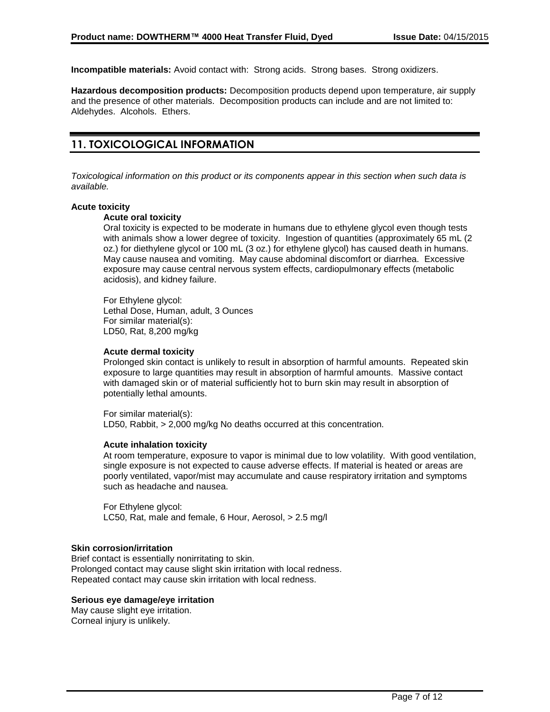**Incompatible materials:** Avoid contact with: Strong acids. Strong bases. Strong oxidizers.

**Hazardous decomposition products:** Decomposition products depend upon temperature, air supply and the presence of other materials. Decomposition products can include and are not limited to: Aldehydes. Alcohols. Ethers.

# **11. TOXICOLOGICAL INFORMATION**

*Toxicological information on this product or its components appear in this section when such data is available.*

#### **Acute toxicity**

#### **Acute oral toxicity**

Oral toxicity is expected to be moderate in humans due to ethylene glycol even though tests with animals show a lower degree of toxicity. Ingestion of quantities (approximately 65 mL (2 oz.) for diethylene glycol or 100 mL (3 oz.) for ethylene glycol) has caused death in humans. May cause nausea and vomiting. May cause abdominal discomfort or diarrhea. Excessive exposure may cause central nervous system effects, cardiopulmonary effects (metabolic acidosis), and kidney failure.

For Ethylene glycol: Lethal Dose, Human, adult, 3 Ounces For similar material(s): LD50, Rat, 8,200 mg/kg

#### **Acute dermal toxicity**

Prolonged skin contact is unlikely to result in absorption of harmful amounts. Repeated skin exposure to large quantities may result in absorption of harmful amounts. Massive contact with damaged skin or of material sufficiently hot to burn skin may result in absorption of potentially lethal amounts.

For similar material(s): LD50, Rabbit, > 2,000 mg/kg No deaths occurred at this concentration.

#### **Acute inhalation toxicity**

At room temperature, exposure to vapor is minimal due to low volatility. With good ventilation, single exposure is not expected to cause adverse effects. If material is heated or areas are poorly ventilated, vapor/mist may accumulate and cause respiratory irritation and symptoms such as headache and nausea.

For Ethylene glycol: LC50, Rat, male and female, 6 Hour, Aerosol, > 2.5 mg/l

#### **Skin corrosion/irritation**

Brief contact is essentially nonirritating to skin. Prolonged contact may cause slight skin irritation with local redness. Repeated contact may cause skin irritation with local redness.

#### **Serious eye damage/eye irritation**

May cause slight eye irritation. Corneal injury is unlikely.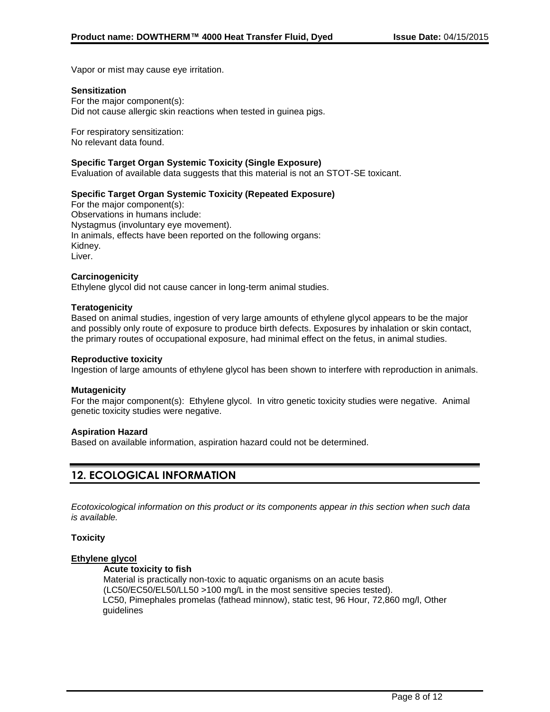Vapor or mist may cause eye irritation.

#### **Sensitization**

For the major component(s): Did not cause allergic skin reactions when tested in guinea pigs.

For respiratory sensitization: No relevant data found.

#### **Specific Target Organ Systemic Toxicity (Single Exposure)**

Evaluation of available data suggests that this material is not an STOT-SE toxicant.

### **Specific Target Organ Systemic Toxicity (Repeated Exposure)**

For the major component(s): Observations in humans include: Nystagmus (involuntary eye movement). In animals, effects have been reported on the following organs: Kidney. Liver.

#### **Carcinogenicity**

Ethylene glycol did not cause cancer in long-term animal studies.

#### **Teratogenicity**

Based on animal studies, ingestion of very large amounts of ethylene glycol appears to be the major and possibly only route of exposure to produce birth defects. Exposures by inhalation or skin contact, the primary routes of occupational exposure, had minimal effect on the fetus, in animal studies.

#### **Reproductive toxicity**

Ingestion of large amounts of ethylene glycol has been shown to interfere with reproduction in animals.

#### **Mutagenicity**

For the major component(s): Ethylene glycol. In vitro genetic toxicity studies were negative. Animal genetic toxicity studies were negative.

#### **Aspiration Hazard**

Based on available information, aspiration hazard could not be determined.

# **12. ECOLOGICAL INFORMATION**

*Ecotoxicological information on this product or its components appear in this section when such data is available.*

#### **Toxicity**

#### **Ethylene glycol**

#### **Acute toxicity to fish**

Material is practically non-toxic to aquatic organisms on an acute basis (LC50/EC50/EL50/LL50 >100 mg/L in the most sensitive species tested). LC50, Pimephales promelas (fathead minnow), static test, 96 Hour, 72,860 mg/l, Other guidelines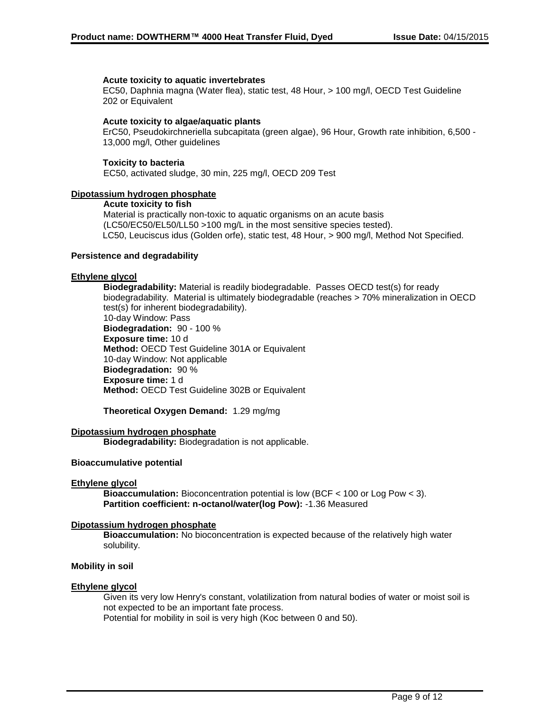#### **Acute toxicity to aquatic invertebrates**

EC50, Daphnia magna (Water flea), static test, 48 Hour, > 100 mg/l, OECD Test Guideline 202 or Equivalent

#### **Acute toxicity to algae/aquatic plants**

ErC50, Pseudokirchneriella subcapitata (green algae), 96 Hour, Growth rate inhibition, 6,500 - 13,000 mg/l, Other guidelines

#### **Toxicity to bacteria**

EC50, activated sludge, 30 min, 225 mg/l, OECD 209 Test

#### **Dipotassium hydrogen phosphate**

#### **Acute toxicity to fish**

Material is practically non-toxic to aquatic organisms on an acute basis (LC50/EC50/EL50/LL50 >100 mg/L in the most sensitive species tested). LC50, Leuciscus idus (Golden orfe), static test, 48 Hour, > 900 mg/l, Method Not Specified.

#### **Persistence and degradability**

#### **Ethylene glycol**

**Biodegradability:** Material is readily biodegradable. Passes OECD test(s) for ready biodegradability. Material is ultimately biodegradable (reaches > 70% mineralization in OECD test(s) for inherent biodegradability). 10-day Window: Pass **Biodegradation:** 90 - 100 % **Exposure time:** 10 d **Method:** OECD Test Guideline 301A or Equivalent 10-day Window: Not applicable **Biodegradation:** 90 % **Exposure time:** 1 d **Method:** OECD Test Guideline 302B or Equivalent

**Theoretical Oxygen Demand:** 1.29 mg/mg

#### **Dipotassium hydrogen phosphate**

**Biodegradability:** Biodegradation is not applicable.

#### **Bioaccumulative potential**

#### **Ethylene glycol**

**Bioaccumulation:** Bioconcentration potential is low (BCF < 100 or Log Pow < 3). **Partition coefficient: n-octanol/water(log Pow):** -1.36 Measured

#### **Dipotassium hydrogen phosphate**

**Bioaccumulation:** No bioconcentration is expected because of the relatively high water solubility.

#### **Mobility in soil**

#### **Ethylene glycol**

Given its very low Henry's constant, volatilization from natural bodies of water or moist soil is not expected to be an important fate process.

Potential for mobility in soil is very high (Koc between 0 and 50).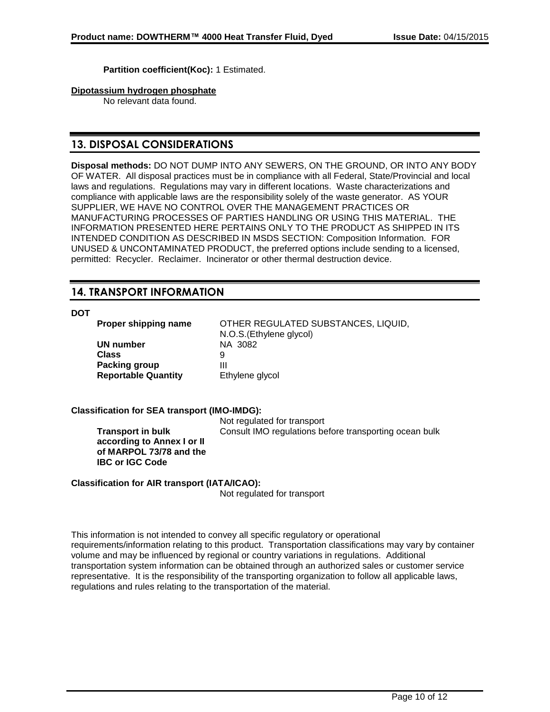**Partition coefficient(Koc):** 1 Estimated.

**Dipotassium hydrogen phosphate**

No relevant data found.

# **13. DISPOSAL CONSIDERATIONS**

**Disposal methods:** DO NOT DUMP INTO ANY SEWERS, ON THE GROUND, OR INTO ANY BODY OF WATER. All disposal practices must be in compliance with all Federal, State/Provincial and local laws and regulations. Regulations may vary in different locations. Waste characterizations and compliance with applicable laws are the responsibility solely of the waste generator. AS YOUR SUPPLIER, WE HAVE NO CONTROL OVER THE MANAGEMENT PRACTICES OR MANUFACTURING PROCESSES OF PARTIES HANDLING OR USING THIS MATERIAL. THE INFORMATION PRESENTED HERE PERTAINS ONLY TO THE PRODUCT AS SHIPPED IN ITS INTENDED CONDITION AS DESCRIBED IN MSDS SECTION: Composition Information. FOR UNUSED & UNCONTAMINATED PRODUCT, the preferred options include sending to a licensed, permitted: Recycler. Reclaimer. Incinerator or other thermal destruction device.

# **14. TRANSPORT INFORMATION**

**DOT**

**UN number** NA 3082 **Class** 9 **Packing group** III

**Proper shipping name** OTHER REGULATED SUBSTANCES, LIQUID, N.O.S.(Ethylene glycol) **Reportable Quantity** Ethylene glycol

### **Classification for SEA transport (IMO-IMDG):**

**Transport in bulk according to Annex I or II of MARPOL 73/78 and the IBC or IGC Code**

Not regulated for transport Consult IMO regulations before transporting ocean bulk

#### **Classification for AIR transport (IATA/ICAO):**

Not regulated for transport

This information is not intended to convey all specific regulatory or operational requirements/information relating to this product. Transportation classifications may vary by container volume and may be influenced by regional or country variations in regulations. Additional transportation system information can be obtained through an authorized sales or customer service representative. It is the responsibility of the transporting organization to follow all applicable laws, regulations and rules relating to the transportation of the material.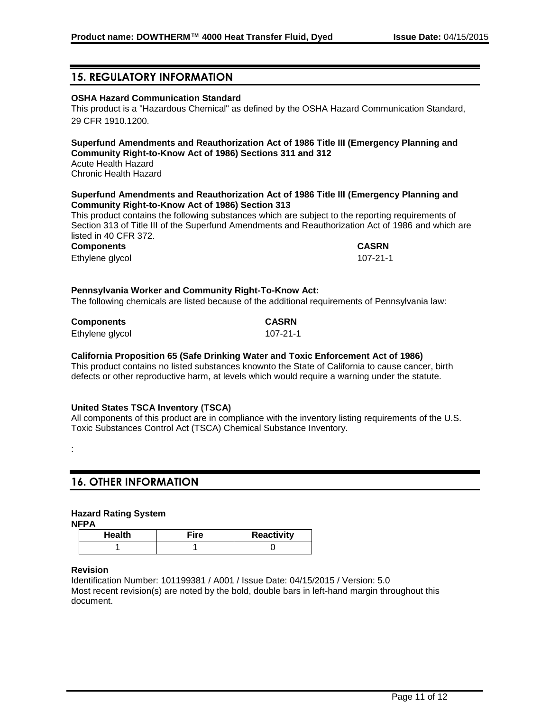# **15. REGULATORY INFORMATION**

### **OSHA Hazard Communication Standard**

This product is a "Hazardous Chemical" as defined by the OSHA Hazard Communication Standard, 29 CFR 1910.1200.

### **Superfund Amendments and Reauthorization Act of 1986 Title III (Emergency Planning and Community Right-to-Know Act of 1986) Sections 311 and 312**

Acute Health Hazard Chronic Health Hazard

#### **Superfund Amendments and Reauthorization Act of 1986 Title III (Emergency Planning and Community Right-to-Know Act of 1986) Section 313**

This product contains the following substances which are subject to the reporting requirements of Section 313 of Title III of the Superfund Amendments and Reauthorization Act of 1986 and which are listed in 40 CFR 372.

**Components CASRN**

Ethylene glycol 107-21-1

#### **Pennsylvania Worker and Community Right-To-Know Act:**

The following chemicals are listed because of the additional requirements of Pennsylvania law:

| <b>Components</b> | <b>CASRN</b> |
|-------------------|--------------|
| Ethylene glycol   | 107-21-1     |

### **California Proposition 65 (Safe Drinking Water and Toxic Enforcement Act of 1986)**

This product contains no listed substances knownto the State of California to cause cancer, birth defects or other reproductive harm, at levels which would require a warning under the statute.

#### **United States TSCA Inventory (TSCA)**

All components of this product are in compliance with the inventory listing requirements of the U.S. Toxic Substances Control Act (TSCA) Chemical Substance Inventory.

## **16. OTHER INFORMATION**

### **Hazard Rating System**

**NFPA**

:

| <b>Health</b> | Fire | <b>Reactivity</b> |
|---------------|------|-------------------|
|               |      |                   |

#### **Revision**

Identification Number: 101199381 / A001 / Issue Date: 04/15/2015 / Version: 5.0 Most recent revision(s) are noted by the bold, double bars in left-hand margin throughout this document.